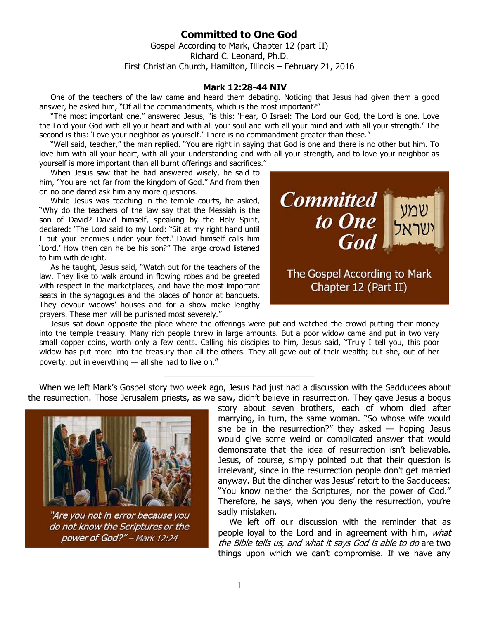## **Committed to One God**

Gospel According to Mark, Chapter 12 (part II) Richard C. Leonard, Ph.D. First Christian Church, Hamilton, Illinois – February 21, 2016

## **Mark 12:28-44 NIV**

One of the teachers of the law came and heard them debating. Noticing that Jesus had given them a good answer, he asked him, "Of all the commandments, which is the most important?"

"The most important one," answered Jesus, "is this: 'Hear, O Israel: The Lord our God, the Lord is one. Love the Lord your God with all your heart and with all your soul and with all your mind and with all your strength.' The second is this: 'Love your neighbor as yourself.' There is no commandment greater than these."

"Well said, teacher," the man replied. "You are right in saying that God is one and there is no other but him. To love him with all your heart, with all your understanding and with all your strength, and to love your neighbor as yourself is more important than all burnt offerings and sacrifices."

When Jesus saw that he had answered wisely, he said to him, "You are not far from the kingdom of God." And from then on no one dared ask him any more questions.

While Jesus was teaching in the temple courts, he asked, "Why do the teachers of the law say that the Messiah is the son of David? David himself, speaking by the Holy Spirit, declared: 'The Lord said to my Lord: "Sit at my right hand until I put your enemies under your feet.' David himself calls him 'Lord.' How then can he be his son?" The large crowd listened to him with delight.

As he taught, Jesus said, "Watch out for the teachers of the law. They like to walk around in flowing robes and be greeted with respect in the marketplaces, and have the most important seats in the synagogues and the places of honor at banquets. They devour widows' houses and for a show make lengthy prayers. These men will be punished most severely."



Jesus sat down opposite the place where the offerings were put and watched the crowd putting their money into the temple treasury. Many rich people threw in large amounts. But a poor widow came and put in two very small copper coins, worth only a few cents. Calling his disciples to him, Jesus said, "Truly I tell you, this poor widow has put more into the treasury than all the others. They all gave out of their wealth; but she, out of her poverty, put in everything — all she had to live on."

When we left Mark's Gospel story two week ago, Jesus had just had a discussion with the Sadducees about the resurrection. Those Jerusalem priests, as we saw, didn't believe in resurrection. They gave Jesus a bogus

\_\_\_\_\_\_\_\_\_\_\_\_\_\_\_\_\_\_\_\_\_\_\_\_\_\_\_\_\_\_\_\_



"Are you not in error because you do not know the Scriptures or the power of God?" - Mark 12:24

story about seven brothers, each of whom died after marrying, in turn, the same woman. "So whose wife would she be in the resurrection?" they asked  $-$  hoping Jesus would give some weird or complicated answer that would demonstrate that the idea of resurrection isn't believable. Jesus, of course, simply pointed out that their question is irrelevant, since in the resurrection people don't get married anyway. But the clincher was Jesus' retort to the Sadducees: "You know neither the Scriptures, nor the power of God." Therefore, he says, when you deny the resurrection, you're sadly mistaken.

We left off our discussion with the reminder that as people loyal to the Lord and in agreement with him, what the Bible tells us, and what it says God is able to do are two things upon which we can't compromise. If we have any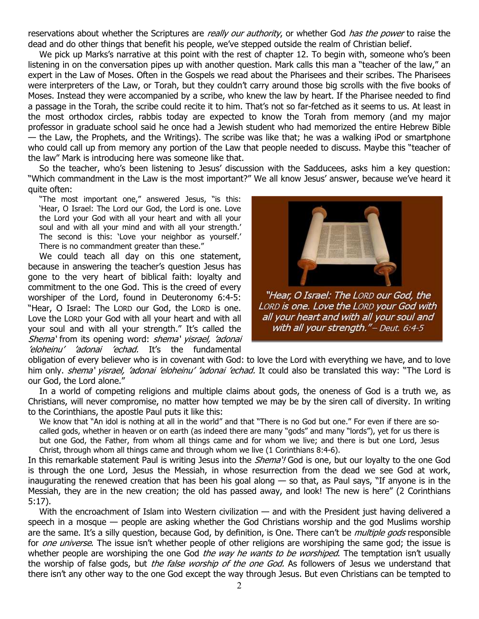reservations about whether the Scriptures are *really our authority*, or whether God *has the power* to raise the dead and do other things that benefit his people, we've stepped outside the realm of Christian belief.

We pick up Marks's narrative at this point with the rest of chapter 12. To begin with, someone who's been listening in on the conversation pipes up with another question. Mark calls this man a "teacher of the law," an expert in the Law of Moses. Often in the Gospels we read about the Pharisees and their scribes. The Pharisees were interpreters of the Law, or Torah, but they couldn't carry around those big scrolls with the five books of Moses. Instead they were accompanied by a scribe, who knew the law by heart. If the Pharisee needed to find a passage in the Torah, the scribe could recite it to him. That's not so far-fetched as it seems to us. At least in the most orthodox circles, rabbis today are expected to know the Torah from memory (and my major professor in graduate school said he once had a Jewish student who had memorized the entire Hebrew Bible — the Law, the Prophets, and the Writings). The scribe was like that; he was a walking iPod or smartphone who could call up from memory any portion of the Law that people needed to discuss. Maybe this "teacher of the law" Mark is introducing here was someone like that.

So the teacher, who's been listening to Jesus' discussion with the Sadducees, asks him a key question: "Which commandment in the Law is the most important?" We all know Jesus' answer, because we've heard it quite often:

"The most important one," answered Jesus, "is this: 'Hear, O Israel: The Lord our God, the Lord is one. Love the Lord your God with all your heart and with all your soul and with all your mind and with all your strength.' The second is this: 'Love your neighbor as yourself.' There is no commandment greater than these."

We could teach all day on this one statement, because in answering the teacher's question Jesus has gone to the very heart of biblical faith: loyalty and commitment to the one God. This is the creed of every worshiper of the Lord, found in Deuteronomy 6:4-5: "Hear, O Israel: The LORD our God, the LORD is one. Love the LORD your God with all your heart and with all your soul and with all your strength." It's called the Shema' from its opening word: shema' yisrael, 'adonai 'eloheinu' 'adonai 'echad. It's the fundamental



"Hear, O Israel: The LORD our God, the LORD is one. Love the LORD your God with all your heart and with all your soul and with all your strength."- Deut. 6:4-5

obligation of every believer who is in covenant with God: to love the Lord with everything we have, and to love him only. shema' yisrael, 'adonai 'eloheinu' 'adonai 'echad. It could also be translated this way: "The Lord is our God, the Lord alone."

In a world of competing religions and multiple claims about gods, the oneness of God is a truth we, as Christians, will never compromise, no matter how tempted we may be by the siren call of diversity. In writing to the Corinthians, the apostle Paul puts it like this:

We know that "An idol is nothing at all in the world" and that "There is no God but one." For even if there are socalled gods, whether in heaven or on earth (as indeed there are many "gods" and many "lords"), yet for us there is but one God, the Father, from whom all things came and for whom we live; and there is but one Lord, Jesus Christ, through whom all things came and through whom we live (1 Corinthians 8:4-6).

In this remarkable statement Paul is writing Jesus into the *Shema'!* God is one, but our loyalty to the one God is through the one Lord, Jesus the Messiah, in whose resurrection from the dead we see God at work, inaugurating the renewed creation that has been his goal along  $-$  so that, as Paul says, "If anyone is in the Messiah, they are in the new creation; the old has passed away, and look! The new is here" (2 Corinthians 5:17).

With the encroachment of Islam into Western civilization — and with the President just having delivered a speech in a mosque — people are asking whether the God Christians worship and the god Muslims worship are the same. It's a silly question, because God, by definition, is One. There can't be *multiple gods* responsible for *one universe*. The issue isn't whether people of other religions are worshiping the same god; the issue is whether people are worshiping the one God *the way he wants to be worshiped*. The temptation isn't usually the worship of false gods, but *the false worship of the one God.* As followers of Jesus we understand that there isn't any other way to the one God except the way through Jesus. But even Christians can be tempted to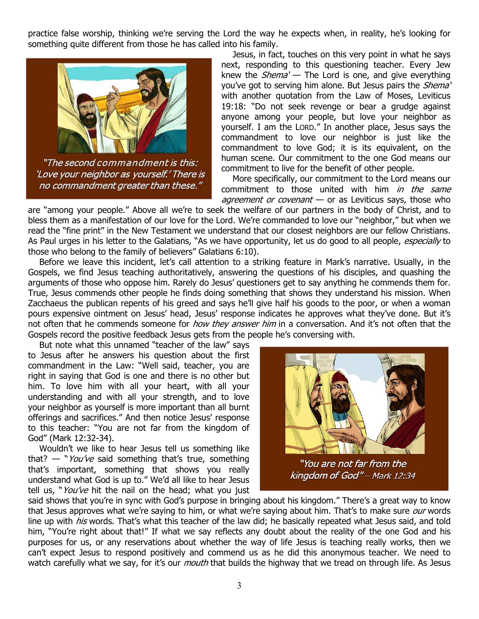practice false worship, thinking we're serving the Lord the way he expects when, in reality, he's looking for something quite different from those he has called into his family.



"The second commandment is this: 'Love your neighbor as yourself.' There is no commandment greater than these."

Jesus, in fact, touches on this very point in what he says next, responding to this questioning teacher. Every Jew knew the  $Shema'$  – The Lord is one, and give everything you've got to serving him alone. But Jesus pairs the *Shema'* with another quotation from the Law of Moses, Leviticus 19:18: "Do not seek revenge or bear a grudge against anyone among your people, but love your neighbor as yourself. I am the LORD." In another place, Jesus says the commandment to love our neighbor is just like the commandment to love God; it is its equivalent, on the human scene. Our commitment to the one God means our commitment to live for the benefit of other people.

More specifically, our commitment to the Lord means our commitment to those united with him in the same agreement or covenant - or as Leviticus says, those who

are "among your people." Above all we're to seek the welfare of our partners in the body of Christ, and to bless them as a manifestation of our love for the Lord. We're commanded to love our "neighbor," but when we read the "fine print" in the New Testament we understand that our closest neighbors are our fellow Christians. As Paul urges in his letter to the Galatians, "As we have opportunity, let us do good to all people, especially to those who belong to the family of believers" Galatians 6:10).

Before we leave this incident, let's call attention to a striking feature in Mark's narrative. Usually, in the Gospels, we find Jesus teaching authoritatively, answering the questions of his disciples, and quashing the arguments of those who oppose him. Rarely do Jesus' questioners get to say anything he commends them for. True, Jesus commends other people he finds doing something that shows they understand his mission. When Zacchaeus the publican repents of his greed and says he'll give half his goods to the poor, or when a woman pours expensive ointment on Jesus' head, Jesus' response indicates he approves what they've done. But it's not often that he commends someone for *how they answer him* in a conversation. And it's not often that the Gospels record the positive feedback Jesus gets from the people he's conversing with.

But note what this unnamed "teacher of the law" says to Jesus after he answers his question about the first commandment in the Law: "Well said, teacher, you are right in saying that God is one and there is no other but him. To love him with all your heart, with all your understanding and with all your strength, and to love your neighbor as yourself is more important than all burnt offerings and sacrifices." And then notice Jesus' response to this teacher: "You are not far from the kingdom of God" (Mark 12:32-34).

Wouldn't we like to hear Jesus tell us something like that?  $-$  "You've said something that's true, something that's important, something that shows you really understand what God is up to." We'd all like to hear Jesus tell us, "You've hit the nail on the head; what you just



"You are not far from the kingdom of God" - Mark 12:34

said shows that you're in sync with God's purpose in bringing about his kingdom." There's a great way to know that Jesus approves what we're saying to him, or what we're saying about him. That's to make sure *our* words line up with *his* words. That's what this teacher of the law did; he basically repeated what Jesus said, and told him, "You're right about that!" If what we say reflects any doubt about the reality of the one God and his purposes for us, or any reservations about whether the way of life Jesus is teaching really works, then we can't expect Jesus to respond positively and commend us as he did this anonymous teacher. We need to watch carefully what we say, for it's our *mouth* that builds the highway that we tread on through life. As Jesus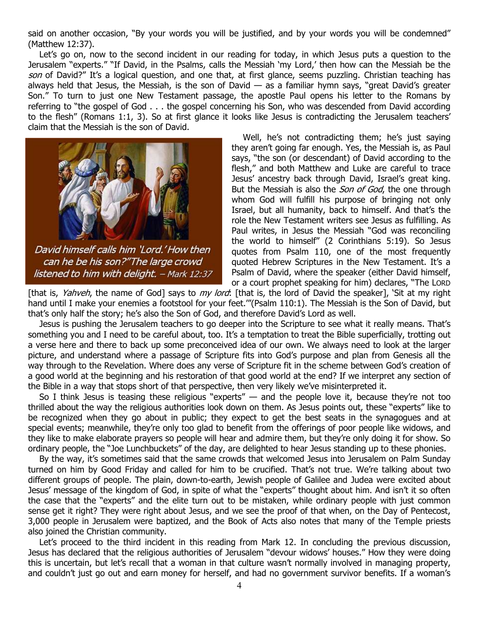said on another occasion, "By your words you will be justified, and by your words you will be condemned" (Matthew 12:37).

Let's go on, now to the second incident in our reading for today, in which Jesus puts a question to the Jerusalem "experts." "If David, in the Psalms, calls the Messiah 'my Lord,' then how can the Messiah be the son of David?" It's a logical question, and one that, at first glance, seems puzzling. Christian teaching has always held that Jesus, the Messiah, is the son of David  $-$  as a familiar hymn says, "great David's greater Son." To turn to just one New Testament passage, the apostle Paul opens his letter to the Romans by referring to "the gospel of God . . . the gospel concerning his Son, who was descended from David according to the flesh" (Romans 1:1, 3). So at first glance it looks like Jesus is contradicting the Jerusalem teachers' claim that the Messiah is the son of David.



David himself calls him 'Lord.' How then can he be his son?"The large crowd listened to him with delight. - Mark 12:37

Well, he's not contradicting them; he's just saying they aren't going far enough. Yes, the Messiah is, as Paul says, "the son (or descendant) of David according to the flesh," and both Matthew and Luke are careful to trace Jesus' ancestry back through David, Israel's great king. But the Messiah is also the *Son of God*, the one through whom God will fulfill his purpose of bringing not only Israel, but all humanity, back to himself. And that's the role the New Testament writers see Jesus as fulfilling. As Paul writes, in Jesus the Messiah "God was reconciling the world to himself" (2 Corinthians 5:19). So Jesus quotes from Psalm 110, one of the most frequently quoted Hebrew Scriptures in the New Testament. It's a Psalm of David, where the speaker (either David himself, or a court prophet speaking for him) declares, "The LORD

[that is, Yahveh, the name of God] says to my lord: [that is, the lord of David the speaker], 'Sit at my right hand until I make your enemies a footstool for your feet.'"(Psalm 110:1). The Messiah is the Son of David, but that's only half the story; he's also the Son of God, and therefore David's Lord as well.

Jesus is pushing the Jerusalem teachers to go deeper into the Scripture to see what it really means. That's something you and I need to be careful about, too. It's a temptation to treat the Bible superficially, trotting out a verse here and there to back up some preconceived idea of our own. We always need to look at the larger picture, and understand where a passage of Scripture fits into God's purpose and plan from Genesis all the way through to the Revelation. Where does any verse of Scripture fit in the scheme between God's creation of a good world at the beginning and his restoration of that good world at the end? If we interpret any section of the Bible in a way that stops short of that perspective, then very likely we've misinterpreted it.

So I think Jesus is teasing these religious "experts" — and the people love it, because they're not too thrilled about the way the religious authorities look down on them. As Jesus points out, these "experts" like to be recognized when they go about in public; they expect to get the best seats in the synagogues and at special events; meanwhile, they're only too glad to benefit from the offerings of poor people like widows, and they like to make elaborate prayers so people will hear and admire them, but they're only doing it for show. So ordinary people, the "Joe Lunchbuckets" of the day, are delighted to hear Jesus standing up to these phonies.

By the way, it's sometimes said that the same crowds that welcomed Jesus into Jerusalem on Palm Sunday turned on him by Good Friday and called for him to be crucified. That's not true. We're talking about two different groups of people. The plain, down-to-earth, Jewish people of Galilee and Judea were excited about Jesus' message of the kingdom of God, in spite of what the "experts" thought about him. And isn't it so often the case that the "experts" and the elite turn out to be mistaken, while ordinary people with just common sense get it right? They were right about Jesus, and we see the proof of that when, on the Day of Pentecost, 3,000 people in Jerusalem were baptized, and the Book of Acts also notes that many of the Temple priests also joined the Christian community.

Let's proceed to the third incident in this reading from Mark 12. In concluding the previous discussion, Jesus has declared that the religious authorities of Jerusalem "devour widows' houses." How they were doing this is uncertain, but let's recall that a woman in that culture wasn't normally involved in managing property, and couldn't just go out and earn money for herself, and had no government survivor benefits. If a woman's